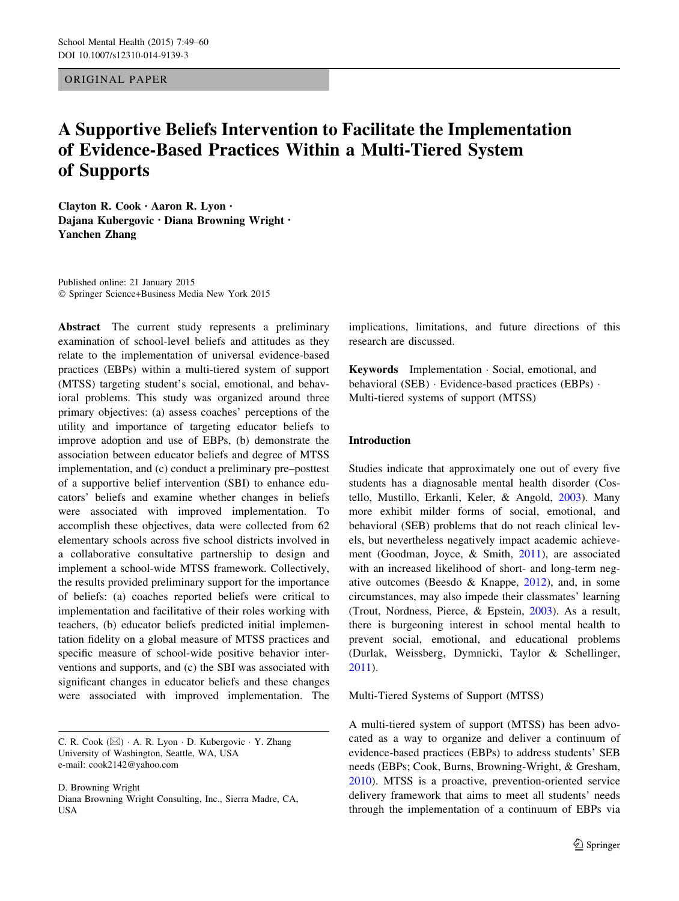ORIGINAL PAPER

# A Supportive Beliefs Intervention to Facilitate the Implementation of Evidence-Based Practices Within a Multi-Tiered System of Supports

Clayton R. Cook • Aaron R. Lyon • Dajana Kubergovic • Diana Browning Wright • Yanchen Zhang

Published online: 21 January 2015 - Springer Science+Business Media New York 2015

Abstract The current study represents a preliminary examination of school-level beliefs and attitudes as they relate to the implementation of universal evidence-based practices (EBPs) within a multi-tiered system of support (MTSS) targeting student's social, emotional, and behavioral problems. This study was organized around three primary objectives: (a) assess coaches' perceptions of the utility and importance of targeting educator beliefs to improve adoption and use of EBPs, (b) demonstrate the association between educator beliefs and degree of MTSS implementation, and (c) conduct a preliminary pre–posttest of a supportive belief intervention (SBI) to enhance educators' beliefs and examine whether changes in beliefs were associated with improved implementation. To accomplish these objectives, data were collected from 62 elementary schools across five school districts involved in a collaborative consultative partnership to design and implement a school-wide MTSS framework. Collectively, the results provided preliminary support for the importance of beliefs: (a) coaches reported beliefs were critical to implementation and facilitative of their roles working with teachers, (b) educator beliefs predicted initial implementation fidelity on a global measure of MTSS practices and specific measure of school-wide positive behavior interventions and supports, and (c) the SBI was associated with significant changes in educator beliefs and these changes were associated with improved implementation. The

C. R. Cook (⊠) · A. R. Lyon · D. Kubergovic · Y. Zhang University of Washington, Seattle, WA, USA e-mail: cook2142@yahoo.com

D. Browning Wright Diana Browning Wright Consulting, Inc., Sierra Madre, CA, USA

implications, limitations, and future directions of this research are discussed.

Keywords Implementation - Social, emotional, and behavioral (SEB) - Evidence-based practices (EBPs) - Multi-tiered systems of support (MTSS)

### Introduction

Studies indicate that approximately one out of every five students has a diagnosable mental health disorder (Costello, Mustillo, Erkanli, Keler, & Angold, [2003](#page-9-0)). Many more exhibit milder forms of social, emotional, and behavioral (SEB) problems that do not reach clinical levels, but nevertheless negatively impact academic achievement (Goodman, Joyce, & Smith, [2011](#page-10-0)), are associated with an increased likelihood of short- and long-term negative outcomes (Beesdo & Knappe, [2012\)](#page-9-0), and, in some circumstances, may also impede their classmates' learning (Trout, Nordness, Pierce, & Epstein, [2003\)](#page-11-0). As a result, there is burgeoning interest in school mental health to prevent social, emotional, and educational problems (Durlak, Weissberg, Dymnicki, Taylor & Schellinger, [2011](#page-10-0)).

Multi-Tiered Systems of Support (MTSS)

A multi-tiered system of support (MTSS) has been advocated as a way to organize and deliver a continuum of evidence-based practices (EBPs) to address students' SEB needs (EBPs; Cook, Burns, Browning-Wright, & Gresham, [2010](#page-9-0)). MTSS is a proactive, prevention-oriented service delivery framework that aims to meet all students' needs through the implementation of a continuum of EBPs via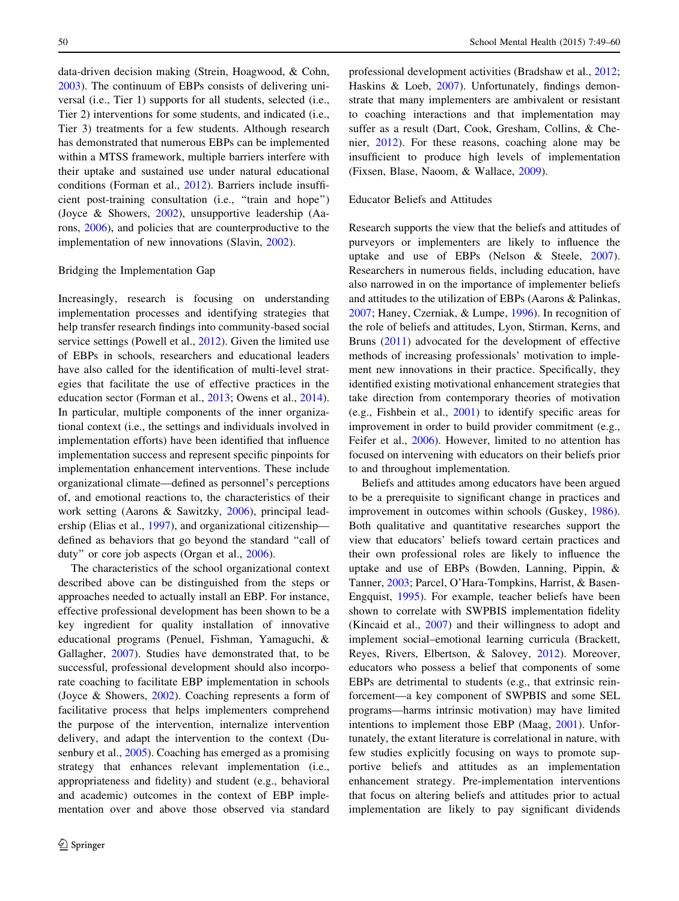data-driven decision making (Strein, Hoagwood, & Cohn, [2003\)](#page-11-0). The continuum of EBPs consists of delivering universal (i.e., Tier 1) supports for all students, selected (i.e., Tier 2) interventions for some students, and indicated (i.e., Tier 3) treatments for a few students. Although research has demonstrated that numerous EBPs can be implemented within a MTSS framework, multiple barriers interfere with their uptake and sustained use under natural educational conditions (Forman et al., [2012\)](#page-10-0). Barriers include insufficient post-training consultation (i.e., ''train and hope'') (Joyce & Showers, [2002\)](#page-10-0), unsupportive leadership (Aarons, [2006\)](#page-9-0), and policies that are counterproductive to the implementation of new innovations (Slavin, [2002\)](#page-10-0).

### Bridging the Implementation Gap

Increasingly, research is focusing on understanding implementation processes and identifying strategies that help transfer research findings into community-based social service settings (Powell et al., [2012](#page-10-0)). Given the limited use of EBPs in schools, researchers and educational leaders have also called for the identification of multi-level strategies that facilitate the use of effective practices in the education sector (Forman et al., [2013;](#page-10-0) Owens et al., [2014](#page-10-0)). In particular, multiple components of the inner organizational context (i.e., the settings and individuals involved in implementation efforts) have been identified that influence implementation success and represent specific pinpoints for implementation enhancement interventions. These include organizational climate—defined as personnel's perceptions of, and emotional reactions to, the characteristics of their work setting (Aarons & Sawitzky, [2006](#page-9-0)), principal leadership (Elias et al., [1997\)](#page-10-0), and organizational citizenship defined as behaviors that go beyond the standard ''call of duty'' or core job aspects (Organ et al., [2006\)](#page-10-0).

The characteristics of the school organizational context described above can be distinguished from the steps or approaches needed to actually install an EBP. For instance, effective professional development has been shown to be a key ingredient for quality installation of innovative educational programs (Penuel, Fishman, Yamaguchi, & Gallagher, [2007\)](#page-10-0). Studies have demonstrated that, to be successful, professional development should also incorporate coaching to facilitate EBP implementation in schools (Joyce & Showers, [2002](#page-10-0)). Coaching represents a form of facilitative process that helps implementers comprehend the purpose of the intervention, internalize intervention delivery, and adapt the intervention to the context (Dusenbury et al., [2005](#page-10-0)). Coaching has emerged as a promising strategy that enhances relevant implementation (i.e., appropriateness and fidelity) and student (e.g., behavioral and academic) outcomes in the context of EBP implementation over and above those observed via standard

professional development activities (Bradshaw et al., [2012](#page-9-0); Haskins & Loeb, [2007](#page-10-0)). Unfortunately, findings demonstrate that many implementers are ambivalent or resistant to coaching interactions and that implementation may suffer as a result (Dart, Cook, Gresham, Collins, & Chenier, [2012\)](#page-10-0). For these reasons, coaching alone may be insufficient to produce high levels of implementation (Fixsen, Blase, Naoom, & Wallace, [2009](#page-10-0)).

### Educator Beliefs and Attitudes

Research supports the view that the beliefs and attitudes of purveyors or implementers are likely to influence the uptake and use of EBPs (Nelson & Steele, [2007](#page-10-0)). Researchers in numerous fields, including education, have also narrowed in on the importance of implementer beliefs and attitudes to the utilization of EBPs (Aarons & Palinkas, [2007](#page-9-0); Haney, Czerniak, & Lumpe, [1996](#page-10-0)). In recognition of the role of beliefs and attitudes, Lyon, Stirman, Kerns, and Bruns [\(2011](#page-10-0)) advocated for the development of effective methods of increasing professionals' motivation to implement new innovations in their practice. Specifically, they identified existing motivational enhancement strategies that take direction from contemporary theories of motivation (e.g., Fishbein et al., [2001\)](#page-10-0) to identify specific areas for improvement in order to build provider commitment (e.g., Feifer et al., [2006](#page-10-0)). However, limited to no attention has focused on intervening with educators on their beliefs prior to and throughout implementation.

Beliefs and attitudes among educators have been argued to be a prerequisite to significant change in practices and improvement in outcomes within schools (Guskey, [1986](#page-10-0)). Both qualitative and quantitative researches support the view that educators' beliefs toward certain practices and their own professional roles are likely to influence the uptake and use of EBPs (Bowden, Lanning, Pippin, & Tanner, [2003](#page-9-0); Parcel, O'Hara-Tompkins, Harrist, & Basen-Engquist, [1995\)](#page-10-0). For example, teacher beliefs have been shown to correlate with SWPBIS implementation fidelity (Kincaid et al., [2007](#page-10-0)) and their willingness to adopt and implement social–emotional learning curricula (Brackett, Reyes, Rivers, Elbertson, & Salovey, [2012](#page-9-0)). Moreover, educators who possess a belief that components of some EBPs are detrimental to students (e.g., that extrinsic reinforcement—a key component of SWPBIS and some SEL programs—harms intrinsic motivation) may have limited intentions to implement those EBP (Maag, [2001](#page-10-0)). Unfortunately, the extant literature is correlational in nature, with few studies explicitly focusing on ways to promote supportive beliefs and attitudes as an implementation enhancement strategy. Pre-implementation interventions that focus on altering beliefs and attitudes prior to actual implementation are likely to pay significant dividends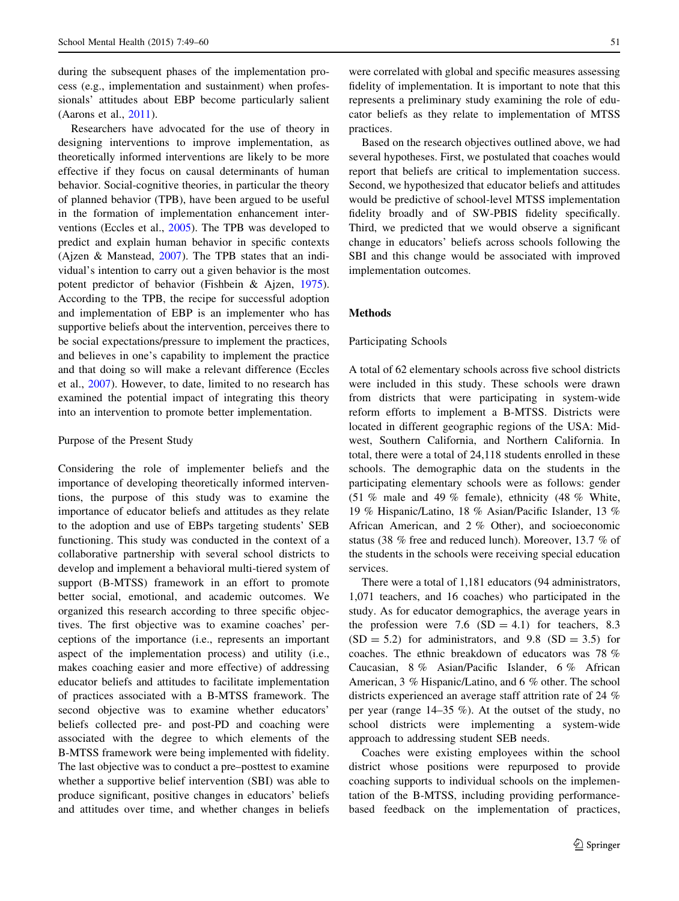during the subsequent phases of the implementation process (e.g., implementation and sustainment) when professionals' attitudes about EBP become particularly salient (Aarons et al., [2011\)](#page-9-0).

Researchers have advocated for the use of theory in designing interventions to improve implementation, as theoretically informed interventions are likely to be more effective if they focus on causal determinants of human behavior. Social-cognitive theories, in particular the theory of planned behavior (TPB), have been argued to be useful in the formation of implementation enhancement interventions (Eccles et al., [2005\)](#page-10-0). The TPB was developed to predict and explain human behavior in specific contexts (Ajzen & Manstead, [2007\)](#page-9-0). The TPB states that an individual's intention to carry out a given behavior is the most potent predictor of behavior (Fishbein & Ajzen, [1975](#page-10-0)). According to the TPB, the recipe for successful adoption and implementation of EBP is an implementer who has supportive beliefs about the intervention, perceives there to be social expectations/pressure to implement the practices, and believes in one's capability to implement the practice and that doing so will make a relevant difference (Eccles et al., [2007](#page-10-0)). However, to date, limited to no research has examined the potential impact of integrating this theory into an intervention to promote better implementation.

#### Purpose of the Present Study

Considering the role of implementer beliefs and the importance of developing theoretically informed interventions, the purpose of this study was to examine the importance of educator beliefs and attitudes as they relate to the adoption and use of EBPs targeting students' SEB functioning. This study was conducted in the context of a collaborative partnership with several school districts to develop and implement a behavioral multi-tiered system of support (B-MTSS) framework in an effort to promote better social, emotional, and academic outcomes. We organized this research according to three specific objectives. The first objective was to examine coaches' perceptions of the importance (i.e., represents an important aspect of the implementation process) and utility (i.e., makes coaching easier and more effective) of addressing educator beliefs and attitudes to facilitate implementation of practices associated with a B-MTSS framework. The second objective was to examine whether educators' beliefs collected pre- and post-PD and coaching were associated with the degree to which elements of the B-MTSS framework were being implemented with fidelity. The last objective was to conduct a pre–posttest to examine whether a supportive belief intervention (SBI) was able to produce significant, positive changes in educators' beliefs and attitudes over time, and whether changes in beliefs

were correlated with global and specific measures assessing fidelity of implementation. It is important to note that this represents a preliminary study examining the role of educator beliefs as they relate to implementation of MTSS practices.

Based on the research objectives outlined above, we had several hypotheses. First, we postulated that coaches would report that beliefs are critical to implementation success. Second, we hypothesized that educator beliefs and attitudes would be predictive of school-level MTSS implementation fidelity broadly and of SW-PBIS fidelity specifically. Third, we predicted that we would observe a significant change in educators' beliefs across schools following the SBI and this change would be associated with improved implementation outcomes.

### Methods

#### Participating Schools

A total of 62 elementary schools across five school districts were included in this study. These schools were drawn from districts that were participating in system-wide reform efforts to implement a B-MTSS. Districts were located in different geographic regions of the USA: Midwest, Southern California, and Northern California. In total, there were a total of 24,118 students enrolled in these schools. The demographic data on the students in the participating elementary schools were as follows: gender (51 % male and 49 % female), ethnicity (48 % White, 19 % Hispanic/Latino, 18 % Asian/Pacific Islander, 13 % African American, and 2 % Other), and socioeconomic status (38 % free and reduced lunch). Moreover, 13.7 % of the students in the schools were receiving special education services.

There were a total of 1,181 educators (94 administrators, 1,071 teachers, and 16 coaches) who participated in the study. As for educator demographics, the average years in the profession were 7.6  $(SD = 4.1)$  for teachers, 8.3  $(SD = 5.2)$  for administrators, and 9.8  $(SD = 3.5)$  for coaches. The ethnic breakdown of educators was 78 % Caucasian, 8 % Asian/Pacific Islander, 6 % African American, 3 % Hispanic/Latino, and 6 % other. The school districts experienced an average staff attrition rate of 24 % per year (range 14–35 %). At the outset of the study, no school districts were implementing a system-wide approach to addressing student SEB needs.

Coaches were existing employees within the school district whose positions were repurposed to provide coaching supports to individual schools on the implementation of the B-MTSS, including providing performancebased feedback on the implementation of practices,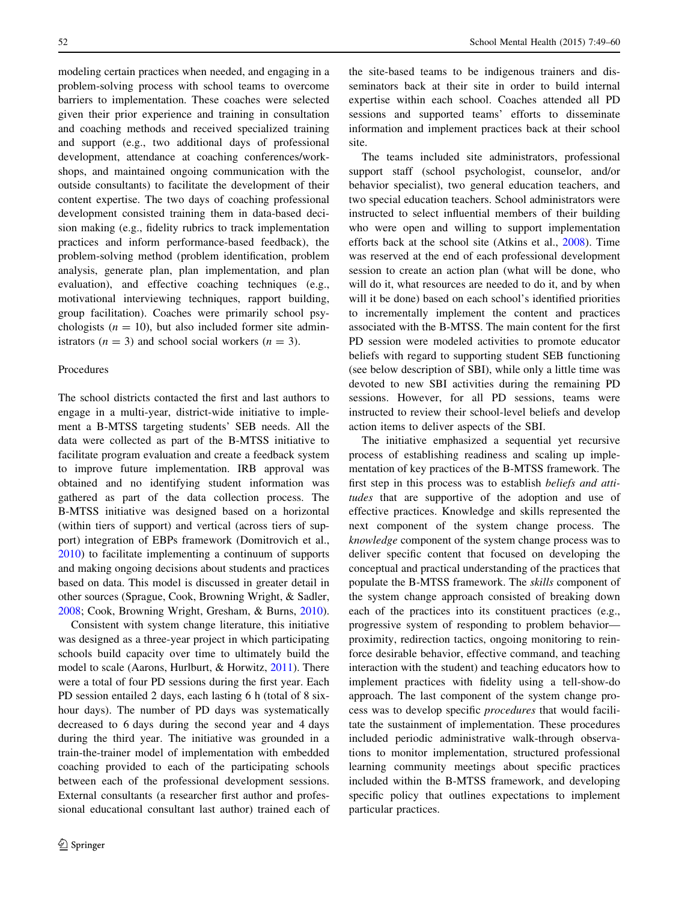modeling certain practices when needed, and engaging in a problem-solving process with school teams to overcome barriers to implementation. These coaches were selected given their prior experience and training in consultation and coaching methods and received specialized training and support (e.g., two additional days of professional development, attendance at coaching conferences/workshops, and maintained ongoing communication with the outside consultants) to facilitate the development of their content expertise. The two days of coaching professional development consisted training them in data-based decision making (e.g., fidelity rubrics to track implementation practices and inform performance-based feedback), the problem-solving method (problem identification, problem analysis, generate plan, plan implementation, and plan evaluation), and effective coaching techniques (e.g., motivational interviewing techniques, rapport building, group facilitation). Coaches were primarily school psychologists ( $n = 10$ ), but also included former site administrators ( $n = 3$ ) and school social workers ( $n = 3$ ).

### Procedures

The school districts contacted the first and last authors to engage in a multi-year, district-wide initiative to implement a B-MTSS targeting students' SEB needs. All the data were collected as part of the B-MTSS initiative to facilitate program evaluation and create a feedback system to improve future implementation. IRB approval was obtained and no identifying student information was gathered as part of the data collection process. The B-MTSS initiative was designed based on a horizontal (within tiers of support) and vertical (across tiers of support) integration of EBPs framework (Domitrovich et al., [2010\)](#page-10-0) to facilitate implementing a continuum of supports and making ongoing decisions about students and practices based on data. This model is discussed in greater detail in other sources (Sprague, Cook, Browning Wright, & Sadler, [2008;](#page-11-0) Cook, Browning Wright, Gresham, & Burns, [2010](#page-9-0)).

Consistent with system change literature, this initiative was designed as a three-year project in which participating schools build capacity over time to ultimately build the model to scale (Aarons, Hurlburt, & Horwitz, [2011](#page-9-0)). There were a total of four PD sessions during the first year. Each PD session entailed 2 days, each lasting 6 h (total of 8 sixhour days). The number of PD days was systematically decreased to 6 days during the second year and 4 days during the third year. The initiative was grounded in a train-the-trainer model of implementation with embedded coaching provided to each of the participating schools between each of the professional development sessions. External consultants (a researcher first author and professional educational consultant last author) trained each of

the site-based teams to be indigenous trainers and disseminators back at their site in order to build internal expertise within each school. Coaches attended all PD sessions and supported teams' efforts to disseminate information and implement practices back at their school site.

The teams included site administrators, professional support staff (school psychologist, counselor, and/or behavior specialist), two general education teachers, and two special education teachers. School administrators were instructed to select influential members of their building who were open and willing to support implementation efforts back at the school site (Atkins et al., [2008\)](#page-9-0). Time was reserved at the end of each professional development session to create an action plan (what will be done, who will do it, what resources are needed to do it, and by when will it be done) based on each school's identified priorities to incrementally implement the content and practices associated with the B-MTSS. The main content for the first PD session were modeled activities to promote educator beliefs with regard to supporting student SEB functioning (see below description of SBI), while only a little time was devoted to new SBI activities during the remaining PD sessions. However, for all PD sessions, teams were instructed to review their school-level beliefs and develop action items to deliver aspects of the SBI.

The initiative emphasized a sequential yet recursive process of establishing readiness and scaling up implementation of key practices of the B-MTSS framework. The first step in this process was to establish beliefs and attitudes that are supportive of the adoption and use of effective practices. Knowledge and skills represented the next component of the system change process. The knowledge component of the system change process was to deliver specific content that focused on developing the conceptual and practical understanding of the practices that populate the B-MTSS framework. The skills component of the system change approach consisted of breaking down each of the practices into its constituent practices (e.g., progressive system of responding to problem behavior proximity, redirection tactics, ongoing monitoring to reinforce desirable behavior, effective command, and teaching interaction with the student) and teaching educators how to implement practices with fidelity using a tell-show-do approach. The last component of the system change process was to develop specific procedures that would facilitate the sustainment of implementation. These procedures included periodic administrative walk-through observations to monitor implementation, structured professional learning community meetings about specific practices included within the B-MTSS framework, and developing specific policy that outlines expectations to implement particular practices.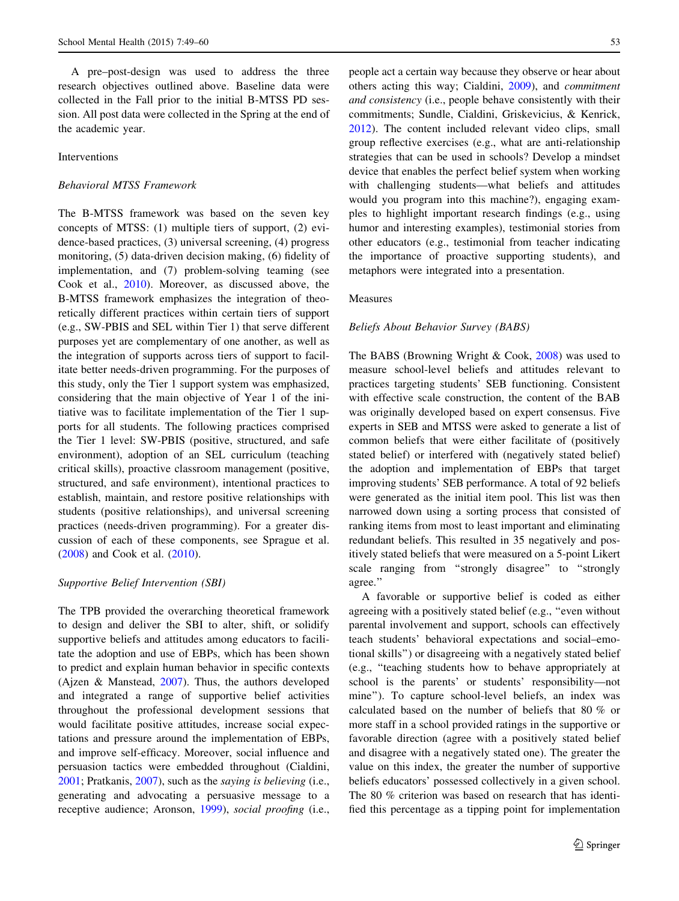A pre–post-design was used to address the three research objectives outlined above. Baseline data were collected in the Fall prior to the initial B-MTSS PD session. All post data were collected in the Spring at the end of the academic year.

### Interventions

# Behavioral MTSS Framework

The B-MTSS framework was based on the seven key concepts of MTSS: (1) multiple tiers of support, (2) evidence-based practices, (3) universal screening, (4) progress monitoring, (5) data-driven decision making, (6) fidelity of implementation, and (7) problem-solving teaming (see Cook et al., [2010\)](#page-9-0). Moreover, as discussed above, the B-MTSS framework emphasizes the integration of theoretically different practices within certain tiers of support (e.g., SW-PBIS and SEL within Tier 1) that serve different purposes yet are complementary of one another, as well as the integration of supports across tiers of support to facilitate better needs-driven programming. For the purposes of this study, only the Tier 1 support system was emphasized, considering that the main objective of Year 1 of the initiative was to facilitate implementation of the Tier 1 supports for all students. The following practices comprised the Tier 1 level: SW-PBIS (positive, structured, and safe environment), adoption of an SEL curriculum (teaching critical skills), proactive classroom management (positive, structured, and safe environment), intentional practices to establish, maintain, and restore positive relationships with students (positive relationships), and universal screening practices (needs-driven programming). For a greater discussion of each of these components, see Sprague et al. [\(2008](#page-11-0)) and Cook et al. ([2010\)](#page-9-0).

### Supportive Belief Intervention (SBI)

The TPB provided the overarching theoretical framework to design and deliver the SBI to alter, shift, or solidify supportive beliefs and attitudes among educators to facilitate the adoption and use of EBPs, which has been shown to predict and explain human behavior in specific contexts (Ajzen & Manstead, [2007](#page-9-0)). Thus, the authors developed and integrated a range of supportive belief activities throughout the professional development sessions that would facilitate positive attitudes, increase social expectations and pressure around the implementation of EBPs, and improve self-efficacy. Moreover, social influence and persuasion tactics were embedded throughout (Cialdini, [2001;](#page-9-0) Pratkanis, [2007\)](#page-10-0), such as the saying is believing (i.e., generating and advocating a persuasive message to a receptive audience; Aronson, [1999](#page-9-0)), social proofing (i.e., people act a certain way because they observe or hear about others acting this way; Cialdini, [2009](#page-9-0)), and commitment and consistency (i.e., people behave consistently with their commitments; Sundle, Cialdini, Griskevicius, & Kenrick, [2012](#page-11-0)). The content included relevant video clips, small group reflective exercises (e.g., what are anti-relationship strategies that can be used in schools? Develop a mindset device that enables the perfect belief system when working with challenging students—what beliefs and attitudes would you program into this machine?), engaging examples to highlight important research findings (e.g., using humor and interesting examples), testimonial stories from other educators (e.g., testimonial from teacher indicating the importance of proactive supporting students), and metaphors were integrated into a presentation.

### Measures

#### Beliefs About Behavior Survey (BABS)

The BABS (Browning Wright & Cook, [2008\)](#page-9-0) was used to measure school-level beliefs and attitudes relevant to practices targeting students' SEB functioning. Consistent with effective scale construction, the content of the BAB was originally developed based on expert consensus. Five experts in SEB and MTSS were asked to generate a list of common beliefs that were either facilitate of (positively stated belief) or interfered with (negatively stated belief) the adoption and implementation of EBPs that target improving students' SEB performance. A total of 92 beliefs were generated as the initial item pool. This list was then narrowed down using a sorting process that consisted of ranking items from most to least important and eliminating redundant beliefs. This resulted in 35 negatively and positively stated beliefs that were measured on a 5-point Likert scale ranging from ''strongly disagree'' to ''strongly agree.''

A favorable or supportive belief is coded as either agreeing with a positively stated belief (e.g., ''even without parental involvement and support, schools can effectively teach students' behavioral expectations and social–emotional skills'') or disagreeing with a negatively stated belief (e.g., ''teaching students how to behave appropriately at school is the parents' or students' responsibility—not mine''). To capture school-level beliefs, an index was calculated based on the number of beliefs that 80 % or more staff in a school provided ratings in the supportive or favorable direction (agree with a positively stated belief and disagree with a negatively stated one). The greater the value on this index, the greater the number of supportive beliefs educators' possessed collectively in a given school. The 80 % criterion was based on research that has identified this percentage as a tipping point for implementation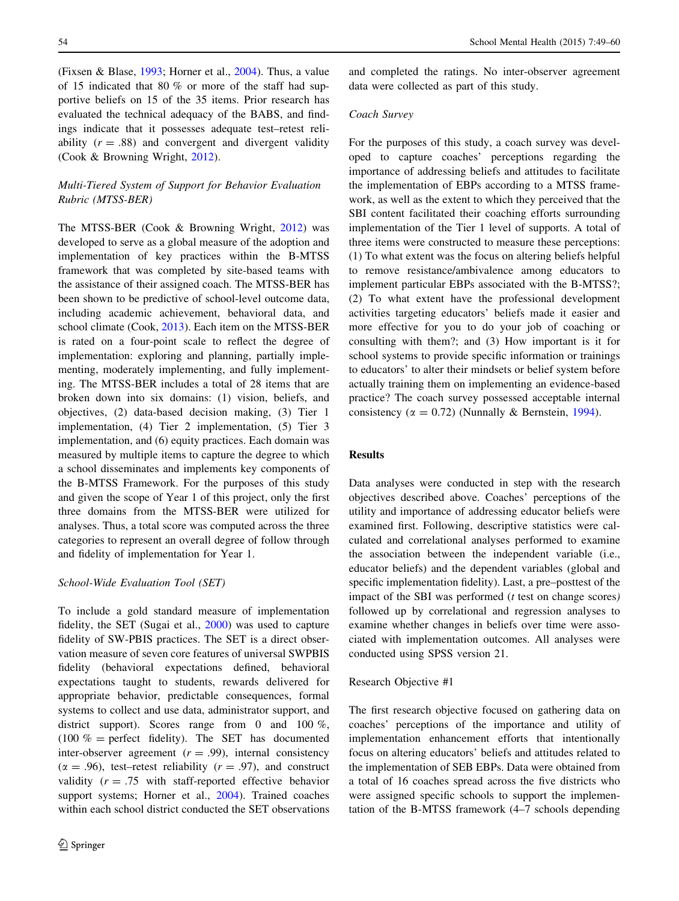(Fixsen & Blase, [1993;](#page-10-0) Horner et al., [2004](#page-10-0)). Thus, a value of 15 indicated that 80 % or more of the staff had supportive beliefs on 15 of the 35 items. Prior research has evaluated the technical adequacy of the BABS, and findings indicate that it possesses adequate test–retest reliability  $(r = .88)$  and convergent and divergent validity (Cook & Browning Wright, [2012\)](#page-9-0).

# Multi-Tiered System of Support for Behavior Evaluation Rubric (MTSS-BER)

The MTSS-BER (Cook & Browning Wright, [2012\)](#page-9-0) was developed to serve as a global measure of the adoption and implementation of key practices within the B-MTSS framework that was completed by site-based teams with the assistance of their assigned coach. The MTSS-BER has been shown to be predictive of school-level outcome data, including academic achievement, behavioral data, and school climate (Cook, [2013\)](#page-9-0). Each item on the MTSS-BER is rated on a four-point scale to reflect the degree of implementation: exploring and planning, partially implementing, moderately implementing, and fully implementing. The MTSS-BER includes a total of 28 items that are broken down into six domains: (1) vision, beliefs, and objectives, (2) data-based decision making, (3) Tier 1 implementation, (4) Tier 2 implementation, (5) Tier 3 implementation, and (6) equity practices. Each domain was measured by multiple items to capture the degree to which a school disseminates and implements key components of the B-MTSS Framework. For the purposes of this study and given the scope of Year 1 of this project, only the first three domains from the MTSS-BER were utilized for analyses. Thus, a total score was computed across the three categories to represent an overall degree of follow through and fidelity of implementation for Year 1.

### School-Wide Evaluation Tool (SET)

To include a gold standard measure of implementation fidelity, the SET (Sugai et al., [2000\)](#page-11-0) was used to capture fidelity of SW-PBIS practices. The SET is a direct observation measure of seven core features of universal SWPBIS fidelity (behavioral expectations defined, behavioral expectations taught to students, rewards delivered for appropriate behavior, predictable consequences, formal systems to collect and use data, administrator support, and district support). Scores range from 0 and 100 %, (100  $%$  = perfect fidelity). The SET has documented inter-observer agreement  $(r = .99)$ , internal consistency  $(\alpha = .96)$ , test–retest reliability  $(r = .97)$ , and construct validity  $(r = .75)$  with staff-reported effective behavior support systems; Horner et al., [2004\)](#page-10-0). Trained coaches within each school district conducted the SET observations

and completed the ratings. No inter-observer agreement data were collected as part of this study.

### Coach Survey

For the purposes of this study, a coach survey was developed to capture coaches' perceptions regarding the importance of addressing beliefs and attitudes to facilitate the implementation of EBPs according to a MTSS framework, as well as the extent to which they perceived that the SBI content facilitated their coaching efforts surrounding implementation of the Tier 1 level of supports. A total of three items were constructed to measure these perceptions: (1) To what extent was the focus on altering beliefs helpful to remove resistance/ambivalence among educators to implement particular EBPs associated with the B-MTSS?; (2) To what extent have the professional development activities targeting educators' beliefs made it easier and more effective for you to do your job of coaching or consulting with them?; and (3) How important is it for school systems to provide specific information or trainings to educators' to alter their mindsets or belief system before actually training them on implementing an evidence-based practice? The coach survey possessed acceptable internal consistency ( $\alpha = 0.72$ ) (Nunnally & Bernstein, [1994](#page-10-0)).

# Results

Data analyses were conducted in step with the research objectives described above. Coaches' perceptions of the utility and importance of addressing educator beliefs were examined first. Following, descriptive statistics were calculated and correlational analyses performed to examine the association between the independent variable (i.e., educator beliefs) and the dependent variables (global and specific implementation fidelity). Last, a pre–posttest of the impact of the SBI was performed  $(t$  test on change scores) followed up by correlational and regression analyses to examine whether changes in beliefs over time were associated with implementation outcomes. All analyses were conducted using SPSS version 21.

### Research Objective #1

The first research objective focused on gathering data on coaches' perceptions of the importance and utility of implementation enhancement efforts that intentionally focus on altering educators' beliefs and attitudes related to the implementation of SEB EBPs. Data were obtained from a total of 16 coaches spread across the five districts who were assigned specific schools to support the implementation of the B-MTSS framework (4–7 schools depending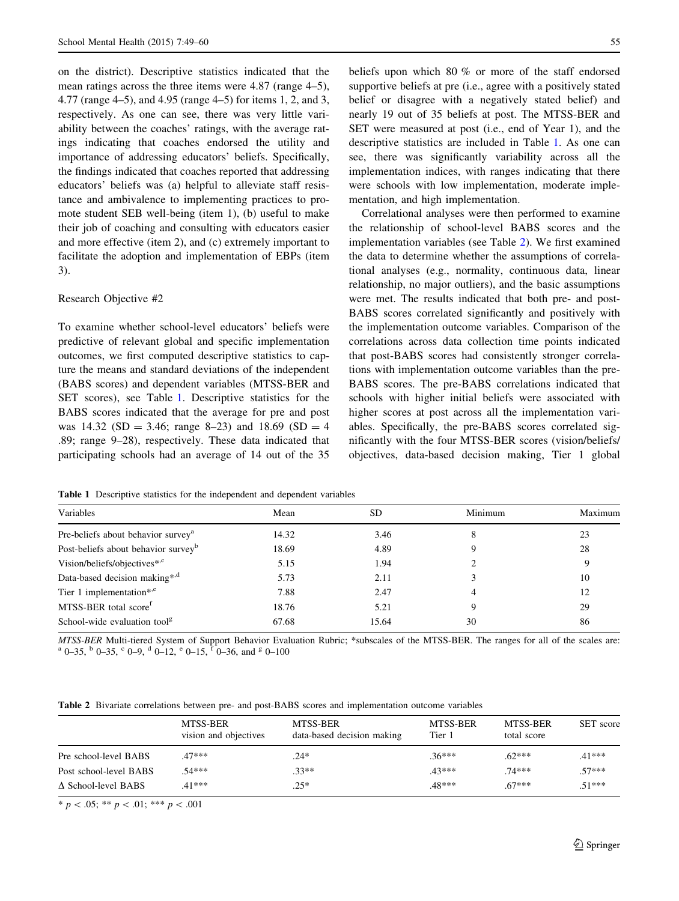<span id="page-6-0"></span>on the district). Descriptive statistics indicated that the mean ratings across the three items were 4.87 (range 4–5), 4.77 (range 4–5), and 4.95 (range 4–5) for items 1, 2, and 3, respectively. As one can see, there was very little variability between the coaches' ratings, with the average ratings indicating that coaches endorsed the utility and importance of addressing educators' beliefs. Specifically, the findings indicated that coaches reported that addressing educators' beliefs was (a) helpful to alleviate staff resistance and ambivalence to implementing practices to promote student SEB well-being (item 1), (b) useful to make their job of coaching and consulting with educators easier and more effective (item 2), and (c) extremely important to facilitate the adoption and implementation of EBPs (item 3).

### Research Objective #2

To examine whether school-level educators' beliefs were predictive of relevant global and specific implementation outcomes, we first computed descriptive statistics to capture the means and standard deviations of the independent (BABS scores) and dependent variables (MTSS-BER and SET scores), see Table 1. Descriptive statistics for the BABS scores indicated that the average for pre and post was  $14.32$  (SD = 3.46; range 8–23) and  $18.69$  (SD = 4 .89; range 9–28), respectively. These data indicated that participating schools had an average of 14 out of the 35

Table 1 Descriptive statistics for the independent and dependent variables

| ۰.<br>$\sim$ | . .<br>۰, |
|--------------|-----------|
|              |           |

beliefs upon which 80 % or more of the staff endorsed supportive beliefs at pre (i.e., agree with a positively stated belief or disagree with a negatively stated belief) and nearly 19 out of 35 beliefs at post. The MTSS-BER and SET were measured at post (i.e., end of Year 1), and the descriptive statistics are included in Table 1. As one can see, there was significantly variability across all the implementation indices, with ranges indicating that there were schools with low implementation, moderate implementation, and high implementation.

Correlational analyses were then performed to examine the relationship of school-level BABS scores and the implementation variables (see Table 2). We first examined the data to determine whether the assumptions of correlational analyses (e.g., normality, continuous data, linear relationship, no major outliers), and the basic assumptions were met. The results indicated that both pre- and post-BABS scores correlated significantly and positively with the implementation outcome variables. Comparison of the correlations across data collection time points indicated that post-BABS scores had consistently stronger correlations with implementation outcome variables than the pre-BABS scores. The pre-BABS correlations indicated that schools with higher initial beliefs were associated with higher scores at post across all the implementation variables. Specifically, the pre-BABS scores correlated significantly with the four MTSS-BER scores (vision/beliefs/ objectives, data-based decision making, Tier 1 global

| Variables                                       | Mean  | <b>SD</b> | Minimum | Maximum |  |
|-------------------------------------------------|-------|-----------|---------|---------|--|
| Pre-beliefs about behavior survey <sup>a</sup>  | 14.32 | 3.46      | 8       | 23      |  |
| Post-beliefs about behavior survey <sup>b</sup> | 18.69 | 4.89      |         | 28      |  |
| Vision/beliefs/objectives* <sup>,c</sup>        | 5.15  | 1.94      |         |         |  |
| Data-based decision making*,d                   | 5.73  | 2.11      |         | 10      |  |
| Tier 1 implementation* <sup>,e</sup>            | 7.88  | 2.47      |         | 12      |  |
| MTSS-BER total score <sup>f</sup>               | 18.76 | 5.21      |         | 29      |  |
| School-wide evaluation tool <sup>g</sup>        | 67.68 | 15.64     | 30      | 86      |  |

MTSS-BER Multi-tiered System of Support Behavior Evaluation Rubric; \*subscales of the MTSS-BER. The ranges for all of the scales are:  $a = 0$ –35,  $b = 0$ ,  $c = 0$ ,  $d = 0$ ,  $d = 0$ ,  $e = 0$ ,  $d = 0$ ,  $f = 0$ –15,  $f = 0$ –160

Table 2 Bivariate correlations between pre- and post-BABS scores and implementation outcome variables

|                               | MTSS-BER<br>vision and objectives | MTSS-BER<br>data-based decision making | MTSS-BER<br>Tier 1 | MTSS-BER<br>total score | <b>SET</b> score |
|-------------------------------|-----------------------------------|----------------------------------------|--------------------|-------------------------|------------------|
| Pre school-level BABS         | $47***$                           | $.24*$                                 | $.36***$           | $.62***$                | $41***$          |
| Post school-level BABS        | .54***                            | $.33**$                                | $43***$            | $74***$                 | $.57***$         |
| $\triangle$ School-level BABS | $41***$                           | $.25*$                                 | $.48***$           | $67***$                 | $.51***$         |

 $* p < .05; ** p < .01; ** * p < .001$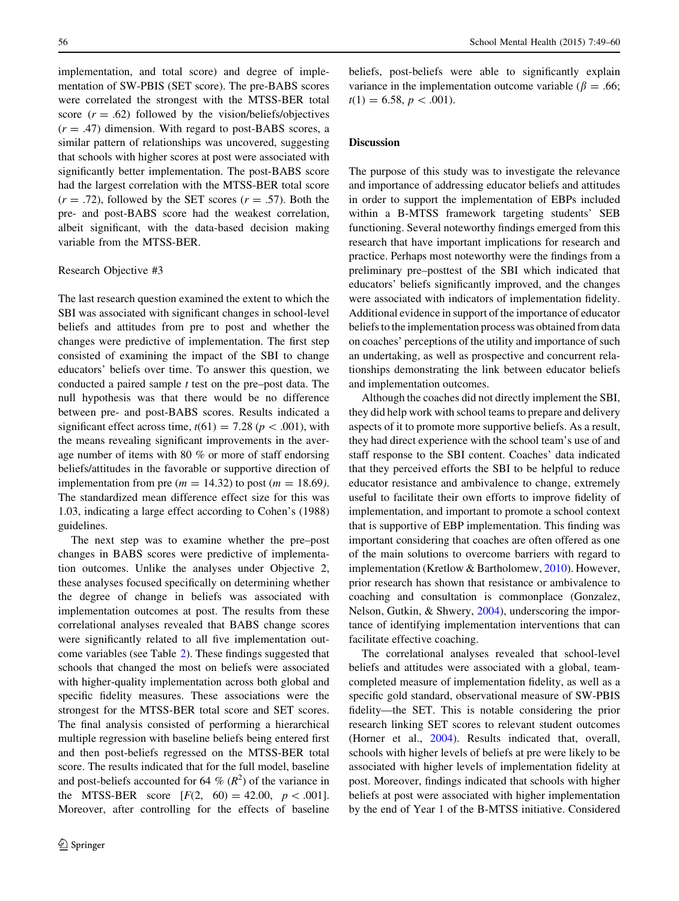implementation, and total score) and degree of implementation of SW-PBIS (SET score). The pre-BABS scores were correlated the strongest with the MTSS-BER total score  $(r = .62)$  followed by the vision/beliefs/objectives  $(r = .47)$  dimension. With regard to post-BABS scores, a similar pattern of relationships was uncovered, suggesting that schools with higher scores at post were associated with significantly better implementation. The post-BABS score had the largest correlation with the MTSS-BER total score  $(r = .72)$ , followed by the SET scores  $(r = .57)$ . Both the pre- and post-BABS score had the weakest correlation, albeit significant, with the data-based decision making variable from the MTSS-BER.

### Research Objective #3

The last research question examined the extent to which the SBI was associated with significant changes in school-level beliefs and attitudes from pre to post and whether the changes were predictive of implementation. The first step consisted of examining the impact of the SBI to change educators' beliefs over time. To answer this question, we conducted a paired sample  $t$  test on the pre–post data. The null hypothesis was that there would be no difference between pre- and post-BABS scores. Results indicated a significant effect across time,  $t(61) = 7.28$  ( $p \lt .001$ ), with the means revealing significant improvements in the average number of items with 80 % or more of staff endorsing beliefs/attitudes in the favorable or supportive direction of implementation from pre ( $m = 14.32$ ) to post ( $m = 18.69$ ). The standardized mean difference effect size for this was 1.03, indicating a large effect according to Cohen's (1988) guidelines.

The next step was to examine whether the pre–post changes in BABS scores were predictive of implementation outcomes. Unlike the analyses under Objective 2, these analyses focused specifically on determining whether the degree of change in beliefs was associated with implementation outcomes at post. The results from these correlational analyses revealed that BABS change scores were significantly related to all five implementation outcome variables (see Table [2](#page-6-0)). These findings suggested that schools that changed the most on beliefs were associated with higher-quality implementation across both global and specific fidelity measures. These associations were the strongest for the MTSS-BER total score and SET scores. The final analysis consisted of performing a hierarchical multiple regression with baseline beliefs being entered first and then post-beliefs regressed on the MTSS-BER total score. The results indicated that for the full model, baseline and post-beliefs accounted for 64 %  $(R^2)$  of the variance in the MTSS-BER score  $[F(2, 60) = 42.00, p < .001]$ . Moreover, after controlling for the effects of baseline beliefs, post-beliefs were able to significantly explain variance in the implementation outcome variable ( $\beta = .66$ ;  $t(1) = 6.58, p < .001$ .

## Discussion

The purpose of this study was to investigate the relevance and importance of addressing educator beliefs and attitudes in order to support the implementation of EBPs included within a B-MTSS framework targeting students' SEB functioning. Several noteworthy findings emerged from this research that have important implications for research and practice. Perhaps most noteworthy were the findings from a preliminary pre–posttest of the SBI which indicated that educators' beliefs significantly improved, and the changes were associated with indicators of implementation fidelity. Additional evidence in support of the importance of educator beliefs to the implementation process was obtained from data on coaches' perceptions of the utility and importance of such an undertaking, as well as prospective and concurrent relationships demonstrating the link between educator beliefs and implementation outcomes.

Although the coaches did not directly implement the SBI, they did help work with school teams to prepare and delivery aspects of it to promote more supportive beliefs. As a result, they had direct experience with the school team's use of and staff response to the SBI content. Coaches' data indicated that they perceived efforts the SBI to be helpful to reduce educator resistance and ambivalence to change, extremely useful to facilitate their own efforts to improve fidelity of implementation, and important to promote a school context that is supportive of EBP implementation. This finding was important considering that coaches are often offered as one of the main solutions to overcome barriers with regard to implementation (Kretlow & Bartholomew, [2010](#page-10-0)). However, prior research has shown that resistance or ambivalence to coaching and consultation is commonplace (Gonzalez, Nelson, Gutkin, & Shwery, [2004\)](#page-10-0), underscoring the importance of identifying implementation interventions that can facilitate effective coaching.

The correlational analyses revealed that school-level beliefs and attitudes were associated with a global, teamcompleted measure of implementation fidelity, as well as a specific gold standard, observational measure of SW-PBIS fidelity—the SET. This is notable considering the prior research linking SET scores to relevant student outcomes (Horner et al., [2004](#page-10-0)). Results indicated that, overall, schools with higher levels of beliefs at pre were likely to be associated with higher levels of implementation fidelity at post. Moreover, findings indicated that schools with higher beliefs at post were associated with higher implementation by the end of Year 1 of the B-MTSS initiative. Considered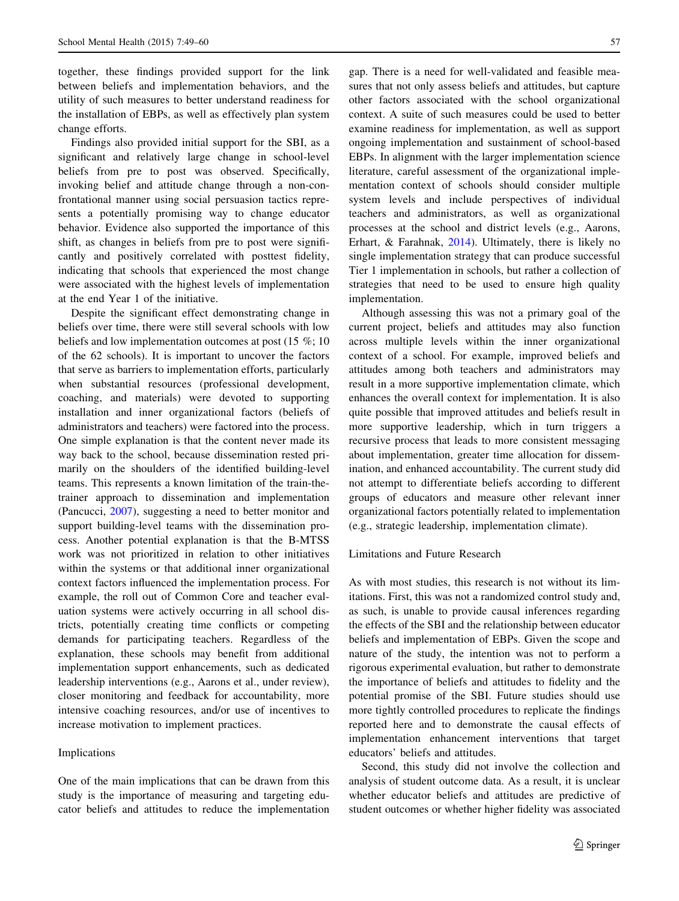together, these findings provided support for the link between beliefs and implementation behaviors, and the utility of such measures to better understand readiness for the installation of EBPs, as well as effectively plan system change efforts.

Findings also provided initial support for the SBI, as a significant and relatively large change in school-level beliefs from pre to post was observed. Specifically, invoking belief and attitude change through a non-confrontational manner using social persuasion tactics represents a potentially promising way to change educator behavior. Evidence also supported the importance of this shift, as changes in beliefs from pre to post were significantly and positively correlated with posttest fidelity, indicating that schools that experienced the most change were associated with the highest levels of implementation at the end Year 1 of the initiative.

Despite the significant effect demonstrating change in beliefs over time, there were still several schools with low beliefs and low implementation outcomes at post (15 %; 10 of the 62 schools). It is important to uncover the factors that serve as barriers to implementation efforts, particularly when substantial resources (professional development, coaching, and materials) were devoted to supporting installation and inner organizational factors (beliefs of administrators and teachers) were factored into the process. One simple explanation is that the content never made its way back to the school, because dissemination rested primarily on the shoulders of the identified building-level teams. This represents a known limitation of the train-thetrainer approach to dissemination and implementation (Pancucci, [2007](#page-10-0)), suggesting a need to better monitor and support building-level teams with the dissemination process. Another potential explanation is that the B-MTSS work was not prioritized in relation to other initiatives within the systems or that additional inner organizational context factors influenced the implementation process. For example, the roll out of Common Core and teacher evaluation systems were actively occurring in all school districts, potentially creating time conflicts or competing demands for participating teachers. Regardless of the explanation, these schools may benefit from additional implementation support enhancements, such as dedicated leadership interventions (e.g., Aarons et al., under review), closer monitoring and feedback for accountability, more intensive coaching resources, and/or use of incentives to increase motivation to implement practices.

### Implications

One of the main implications that can be drawn from this study is the importance of measuring and targeting educator beliefs and attitudes to reduce the implementation gap. There is a need for well-validated and feasible measures that not only assess beliefs and attitudes, but capture other factors associated with the school organizational context. A suite of such measures could be used to better examine readiness for implementation, as well as support ongoing implementation and sustainment of school-based EBPs. In alignment with the larger implementation science literature, careful assessment of the organizational implementation context of schools should consider multiple system levels and include perspectives of individual teachers and administrators, as well as organizational processes at the school and district levels (e.g., Aarons, Erhart, & Farahnak, [2014](#page-9-0)). Ultimately, there is likely no single implementation strategy that can produce successful Tier 1 implementation in schools, but rather a collection of strategies that need to be used to ensure high quality implementation.

Although assessing this was not a primary goal of the current project, beliefs and attitudes may also function across multiple levels within the inner organizational context of a school. For example, improved beliefs and attitudes among both teachers and administrators may result in a more supportive implementation climate, which enhances the overall context for implementation. It is also quite possible that improved attitudes and beliefs result in more supportive leadership, which in turn triggers a recursive process that leads to more consistent messaging about implementation, greater time allocation for dissemination, and enhanced accountability. The current study did not attempt to differentiate beliefs according to different groups of educators and measure other relevant inner organizational factors potentially related to implementation (e.g., strategic leadership, implementation climate).

### Limitations and Future Research

As with most studies, this research is not without its limitations. First, this was not a randomized control study and, as such, is unable to provide causal inferences regarding the effects of the SBI and the relationship between educator beliefs and implementation of EBPs. Given the scope and nature of the study, the intention was not to perform a rigorous experimental evaluation, but rather to demonstrate the importance of beliefs and attitudes to fidelity and the potential promise of the SBI. Future studies should use more tightly controlled procedures to replicate the findings reported here and to demonstrate the causal effects of implementation enhancement interventions that target educators' beliefs and attitudes.

Second, this study did not involve the collection and analysis of student outcome data. As a result, it is unclear whether educator beliefs and attitudes are predictive of student outcomes or whether higher fidelity was associated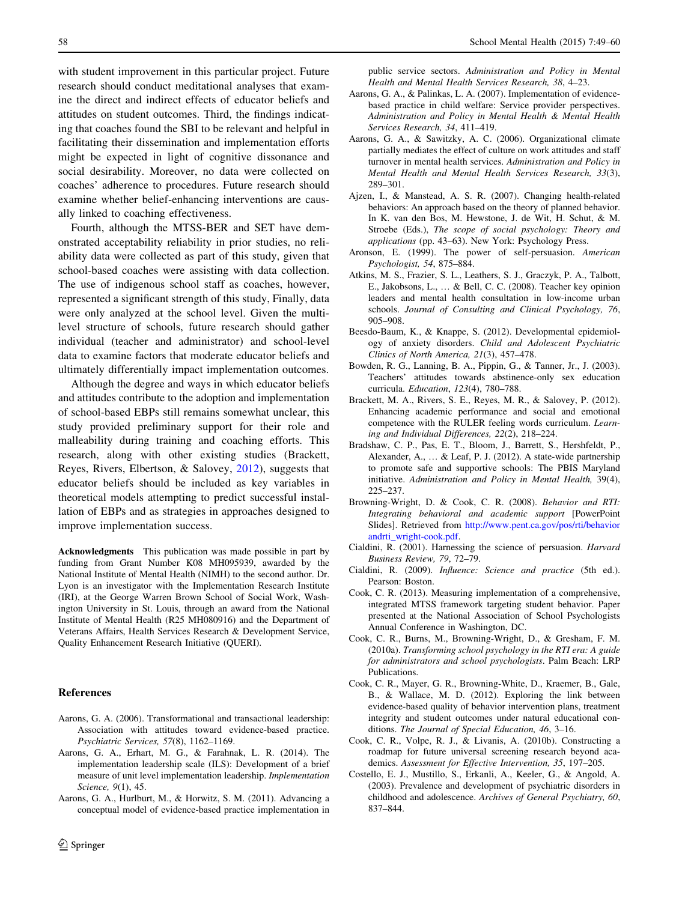<span id="page-9-0"></span>with student improvement in this particular project. Future research should conduct meditational analyses that examine the direct and indirect effects of educator beliefs and attitudes on student outcomes. Third, the findings indicating that coaches found the SBI to be relevant and helpful in facilitating their dissemination and implementation efforts might be expected in light of cognitive dissonance and social desirability. Moreover, no data were collected on coaches' adherence to procedures. Future research should examine whether belief-enhancing interventions are causally linked to coaching effectiveness.

Fourth, although the MTSS-BER and SET have demonstrated acceptability reliability in prior studies, no reliability data were collected as part of this study, given that school-based coaches were assisting with data collection. The use of indigenous school staff as coaches, however, represented a significant strength of this study, Finally, data were only analyzed at the school level. Given the multilevel structure of schools, future research should gather individual (teacher and administrator) and school-level data to examine factors that moderate educator beliefs and ultimately differentially impact implementation outcomes.

Although the degree and ways in which educator beliefs and attitudes contribute to the adoption and implementation of school-based EBPs still remains somewhat unclear, this study provided preliminary support for their role and malleability during training and coaching efforts. This research, along with other existing studies (Brackett, Reyes, Rivers, Elbertson, & Salovey, 2012), suggests that educator beliefs should be included as key variables in theoretical models attempting to predict successful installation of EBPs and as strategies in approaches designed to improve implementation success.

Acknowledgments This publication was made possible in part by funding from Grant Number K08 MH095939, awarded by the National Institute of Mental Health (NIMH) to the second author. Dr. Lyon is an investigator with the Implementation Research Institute (IRI), at the George Warren Brown School of Social Work, Washington University in St. Louis, through an award from the National Institute of Mental Health (R25 MH080916) and the Department of Veterans Affairs, Health Services Research & Development Service, Quality Enhancement Research Initiative (QUERI).

#### References

- Aarons, G. A. (2006). Transformational and transactional leadership: Association with attitudes toward evidence-based practice. Psychiatric Services, 57(8), 1162–1169.
- Aarons, G. A., Erhart, M. G., & Farahnak, L. R. (2014). The implementation leadership scale (ILS): Development of a brief measure of unit level implementation leadership. Implementation Science, 9(1), 45.
- Aarons, G. A., Hurlburt, M., & Horwitz, S. M. (2011). Advancing a conceptual model of evidence-based practice implementation in

public service sectors. Administration and Policy in Mental Health and Mental Health Services Research, 38, 4–23.

- Aarons, G. A., & Palinkas, L. A. (2007). Implementation of evidencebased practice in child welfare: Service provider perspectives. Administration and Policy in Mental Health & Mental Health Services Research, 34, 411–419.
- Aarons, G. A., & Sawitzky, A. C. (2006). Organizational climate partially mediates the effect of culture on work attitudes and staff turnover in mental health services. Administration and Policy in Mental Health and Mental Health Services Research, 33(3), 289–301.
- Ajzen, I., & Manstead, A. S. R. (2007). Changing health-related behaviors: An approach based on the theory of planned behavior. In K. van den Bos, M. Hewstone, J. de Wit, H. Schut, & M. Stroebe (Eds.), The scope of social psychology: Theory and applications (pp. 43–63). New York: Psychology Press.
- Aronson, E. (1999). The power of self-persuasion. American Psychologist, 54, 875–884.
- Atkins, M. S., Frazier, S. L., Leathers, S. J., Graczyk, P. A., Talbott, E., Jakobsons, L., … & Bell, C. C. (2008). Teacher key opinion leaders and mental health consultation in low-income urban schools. Journal of Consulting and Clinical Psychology, 76, 905–908.
- Beesdo-Baum, K., & Knappe, S. (2012). Developmental epidemiology of anxiety disorders. Child and Adolescent Psychiatric Clinics of North America, 21(3), 457–478.
- Bowden, R. G., Lanning, B. A., Pippin, G., & Tanner, Jr., J. (2003). Teachers' attitudes towards abstinence-only sex education curricula. Education, 123(4), 780–788.
- Brackett, M. A., Rivers, S. E., Reyes, M. R., & Salovey, P. (2012). Enhancing academic performance and social and emotional competence with the RULER feeling words curriculum. Learning and Individual Differences, 22(2), 218–224.
- Bradshaw, C. P., Pas, E. T., Bloom, J., Barrett, S., Hershfeldt, P., Alexander, A., … & Leaf, P. J. (2012). A state-wide partnership to promote safe and supportive schools: The PBIS Maryland initiative. Administration and Policy in Mental Health, 39(4), 225–237.
- Browning-Wright, D. & Cook, C. R. (2008). Behavior and RTI: Integrating behavioral and academic support [PowerPoint Slides]. Retrieved from [http://www.pent.ca.gov/pos/rti/behavior](http://www.pent.ca.gov/pos/rti/behaviorandrti_wright-cook.pdf) [andrti\\_wright-cook.pdf](http://www.pent.ca.gov/pos/rti/behaviorandrti_wright-cook.pdf).
- Cialdini, R. (2001). Harnessing the science of persuasion. Harvard Business Review, 79, 72–79.
- Cialdini, R. (2009). Influence: Science and practice (5th ed.). Pearson: Boston.
- Cook, C. R. (2013). Measuring implementation of a comprehensive, integrated MTSS framework targeting student behavior. Paper presented at the National Association of School Psychologists Annual Conference in Washington, DC.
- Cook, C. R., Burns, M., Browning-Wright, D., & Gresham, F. M. (2010a). Transforming school psychology in the RTI era: A guide for administrators and school psychologists. Palm Beach: LRP Publications.
- Cook, C. R., Mayer, G. R., Browning-White, D., Kraemer, B., Gale, B., & Wallace, M. D. (2012). Exploring the link between evidence-based quality of behavior intervention plans, treatment integrity and student outcomes under natural educational conditions. The Journal of Special Education, 46, 3–16.
- Cook, C. R., Volpe, R. J., & Livanis, A. (2010b). Constructing a roadmap for future universal screening research beyond academics. Assessment for Effective Intervention, 35, 197–205.
- Costello, E. J., Mustillo, S., Erkanli, A., Keeler, G., & Angold, A. (2003). Prevalence and development of psychiatric disorders in childhood and adolescence. Archives of General Psychiatry, 60, 837–844.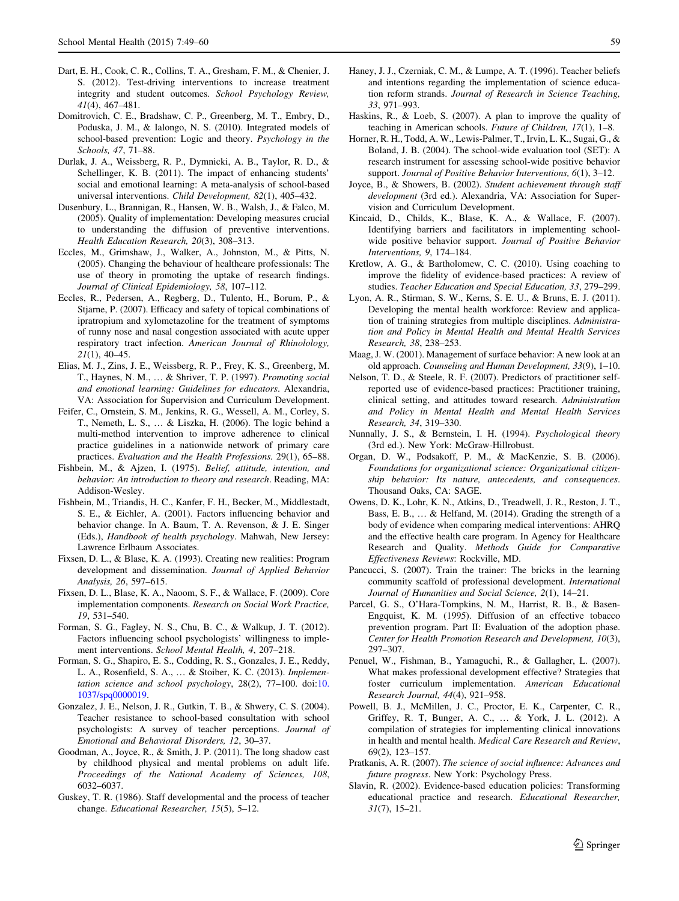- <span id="page-10-0"></span>Dart, E. H., Cook, C. R., Collins, T. A., Gresham, F. M., & Chenier, J. S. (2012). Test-driving interventions to increase treatment integrity and student outcomes. School Psychology Review, 41(4), 467–481.
- Domitrovich, C. E., Bradshaw, C. P., Greenberg, M. T., Embry, D., Poduska, J. M., & Ialongo, N. S. (2010). Integrated models of school-based prevention: Logic and theory. Psychology in the Schools, 47, 71–88.
- Durlak, J. A., Weissberg, R. P., Dymnicki, A. B., Taylor, R. D., & Schellinger, K. B. (2011). The impact of enhancing students' social and emotional learning: A meta-analysis of school-based universal interventions. Child Development, 82(1), 405–432.
- Dusenbury, L., Brannigan, R., Hansen, W. B., Walsh, J., & Falco, M. (2005). Quality of implementation: Developing measures crucial to understanding the diffusion of preventive interventions. Health Education Research, 20(3), 308–313.
- Eccles, M., Grimshaw, J., Walker, A., Johnston, M., & Pitts, N. (2005). Changing the behaviour of healthcare professionals: The use of theory in promoting the uptake of research findings. Journal of Clinical Epidemiology, 58, 107–112.
- Eccles, R., Pedersen, A., Regberg, D., Tulento, H., Borum, P., & Stjarne, P. (2007). Efficacy and safety of topical combinations of ipratropium and xylometazoline for the treatment of symptoms of runny nose and nasal congestion associated with acute upper respiratory tract infection. American Journal of Rhinolology, 21(1), 40–45.
- Elias, M. J., Zins, J. E., Weissberg, R. P., Frey, K. S., Greenberg, M. T., Haynes, N. M., … & Shriver, T. P. (1997). Promoting social and emotional learning: Guidelines for educators. Alexandria, VA: Association for Supervision and Curriculum Development.
- Feifer, C., Ornstein, S. M., Jenkins, R. G., Wessell, A. M., Corley, S. T., Nemeth, L. S., … & Liszka, H. (2006). The logic behind a multi-method intervention to improve adherence to clinical practice guidelines in a nationwide network of primary care practices. Evaluation and the Health Professions. 29(1), 65–88.
- Fishbein, M., & Ajzen, I. (1975). Belief, attitude, intention, and behavior: An introduction to theory and research. Reading, MA: Addison-Wesley.
- Fishbein, M., Triandis, H. C., Kanfer, F. H., Becker, M., Middlestadt, S. E., & Eichler, A. (2001). Factors influencing behavior and behavior change. In A. Baum, T. A. Revenson, & J. E. Singer (Eds.), Handbook of health psychology. Mahwah, New Jersey: Lawrence Erlbaum Associates.
- Fixsen, D. L., & Blase, K. A. (1993). Creating new realities: Program development and dissemination. Journal of Applied Behavior Analysis, 26, 597–615.
- Fixsen, D. L., Blase, K. A., Naoom, S. F., & Wallace, F. (2009). Core implementation components. Research on Social Work Practice, 19, 531–540.
- Forman, S. G., Fagley, N. S., Chu, B. C., & Walkup, J. T. (2012). Factors influencing school psychologists' willingness to implement interventions. School Mental Health, 4, 207–218.
- Forman, S. G., Shapiro, E. S., Codding, R. S., Gonzales, J. E., Reddy, L. A., Rosenfield, S. A., … & Stoiber, K. C. (2013). Implementation science and school psychology, 28(2), 77–100. doi:[10.](http://dx.doi.org/10.1037/spq0000019) [1037/spq0000019.](http://dx.doi.org/10.1037/spq0000019)
- Gonzalez, J. E., Nelson, J. R., Gutkin, T. B., & Shwery, C. S. (2004). Teacher resistance to school-based consultation with school psychologists: A survey of teacher perceptions. Journal of Emotional and Behavioral Disorders, 12, 30–37.
- Goodman, A., Joyce, R., & Smith, J. P. (2011). The long shadow cast by childhood physical and mental problems on adult life. Proceedings of the National Academy of Sciences, 108, 6032–6037.
- Guskey, T. R. (1986). Staff developmental and the process of teacher change. Educational Researcher, 15(5), 5–12.
- Haney, J. J., Czerniak, C. M., & Lumpe, A. T. (1996). Teacher beliefs and intentions regarding the implementation of science education reform strands. Journal of Research in Science Teaching, 33, 971–993.
- Haskins, R., & Loeb, S. (2007). A plan to improve the quality of teaching in American schools. Future of Children, 17(1), 1–8.
- Horner, R. H., Todd, A. W., Lewis-Palmer, T., Irvin, L. K., Sugai, G., & Boland, J. B. (2004). The school-wide evaluation tool (SET): A research instrument for assessing school-wide positive behavior support. Journal of Positive Behavior Interventions, 6(1), 3-12.
- Joyce, B., & Showers, B. (2002). Student achievement through staff development (3rd ed.). Alexandria, VA: Association for Supervision and Curriculum Development.
- Kincaid, D., Childs, K., Blase, K. A., & Wallace, F. (2007). Identifying barriers and facilitators in implementing schoolwide positive behavior support. Journal of Positive Behavior Interventions, 9, 174–184.
- Kretlow, A. G., & Bartholomew, C. C. (2010). Using coaching to improve the fidelity of evidence-based practices: A review of studies. Teacher Education and Special Education, 33, 279–299.
- Lyon, A. R., Stirman, S. W., Kerns, S. E. U., & Bruns, E. J. (2011). Developing the mental health workforce: Review and application of training strategies from multiple disciplines. Administration and Policy in Mental Health and Mental Health Services Research, 38, 238–253.
- Maag, J. W. (2001). Management of surface behavior: A new look at an old approach. Counseling and Human Development, 33(9), 1–10.
- Nelson, T. D., & Steele, R. F. (2007). Predictors of practitioner selfreported use of evidence-based practices: Practitioner training, clinical setting, and attitudes toward research. Administration and Policy in Mental Health and Mental Health Services Research, 34, 319–330.
- Nunnally, J. S., & Bernstein, I. H. (1994). Psychological theory (3rd ed.). New York: McGraw-Hillrobust.
- Organ, D. W., Podsakoff, P. M., & MacKenzie, S. B. (2006). Foundations for organizational science: Organizational citizenship behavior: Its nature, antecedents, and consequences. Thousand Oaks, CA: SAGE.
- Owens, D. K., Lohr, K. N., Atkins, D., Treadwell, J. R., Reston, J. T., Bass, E. B., … & Helfand, M. (2014). Grading the strength of a body of evidence when comparing medical interventions: AHRQ and the effective health care program. In Agency for Healthcare Research and Quality. Methods Guide for Comparative Effectiveness Reviews: Rockville, MD.
- Pancucci, S. (2007). Train the trainer: The bricks in the learning community scaffold of professional development. International Journal of Humanities and Social Science, 2(1), 14–21.
- Parcel, G. S., O'Hara-Tompkins, N. M., Harrist, R. B., & Basen-Engquist, K. M. (1995). Diffusion of an effective tobacco prevention program. Part II: Evaluation of the adoption phase. Center for Health Promotion Research and Development, 10(3), 297–307.
- Penuel, W., Fishman, B., Yamaguchi, R., & Gallagher, L. (2007). What makes professional development effective? Strategies that foster curriculum implementation. American Educational Research Journal, 44(4), 921–958.
- Powell, B. J., McMillen, J. C., Proctor, E. K., Carpenter, C. R., Griffey, R. T, Bunger, A. C., … & York, J. L. (2012). A compilation of strategies for implementing clinical innovations in health and mental health. Medical Care Research and Review, 69(2), 123–157.
- Pratkanis, A. R. (2007). The science of social influence: Advances and future progress. New York: Psychology Press.
- Slavin, R. (2002). Evidence-based education policies: Transforming educational practice and research. Educational Researcher, 31(7), 15–21.